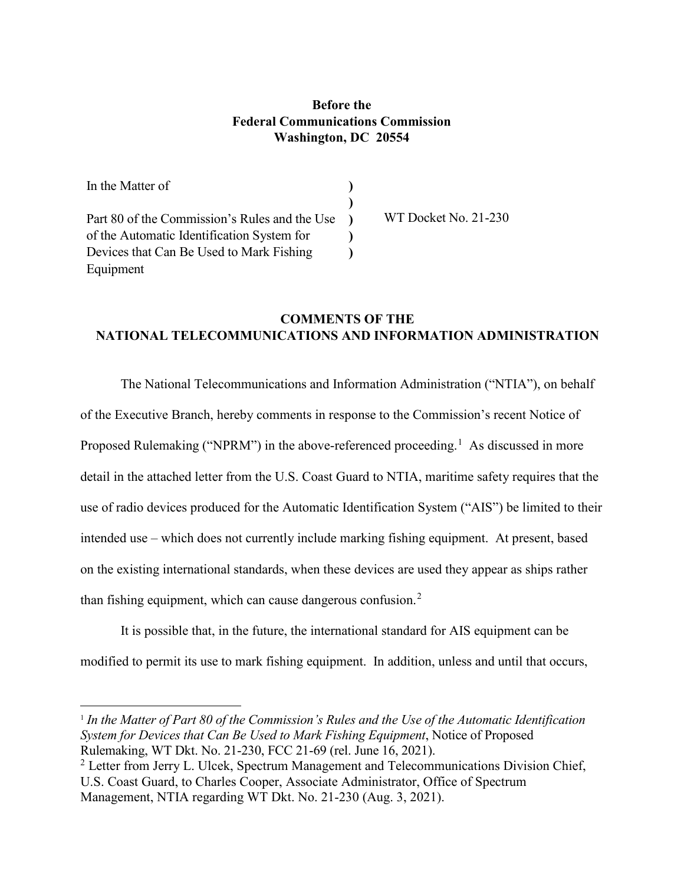## **Before the Federal Communications Commission Washington, DC 20554**

In the Matter of Part 80 of the Commission's Rules and the Use of the Automatic Identification System for Devices that Can Be Used to Mark Fishing Equipment **) ) )**

l

WT Docket No. 21-230

## **COMMENTS OF THE NATIONAL TELECOMMUNICATIONS AND INFORMATION ADMINISTRATION**

**) )**

The National Telecommunications and Information Administration ("NTIA"), on behalf of the Executive Branch, hereby comments in response to the Commission's recent Notice of Proposed Rulemaking ("NPRM") in the above-referenced proceeding.<sup>1</sup> As discussed in more detail in the attached letter from the U.S. Coast Guard to NTIA, maritime safety requires that the use of radio devices produced for the Automatic Identification System ("AIS") be limited to their intended use – which does not currently include marking fishing equipment. At present, based on the existing international standards, when these devices are used they appear as ships rather than fishing equipment, which can cause dangerous confusion.<sup>2</sup>

It is possible that, in the future, the international standard for AIS equipment can be modified to permit its use to mark fishing equipment. In addition, unless and until that occurs,

<sup>1</sup> *In the Matter of Part 80 of the Commission's Rules and the Use of the Automatic Identification System for Devices that Can Be Used to Mark Fishing Equipment*, Notice of Proposed Rulemaking, WT Dkt. No. 21-230, FCC 21-69 (rel. June 16, 2021).

 $2$  Letter from Jerry L. Ulcek, Spectrum Management and Telecommunications Division Chief, U.S. Coast Guard, to Charles Cooper, Associate Administrator, Office of Spectrum Management, NTIA regarding WT Dkt. No. 21-230 (Aug. 3, 2021).